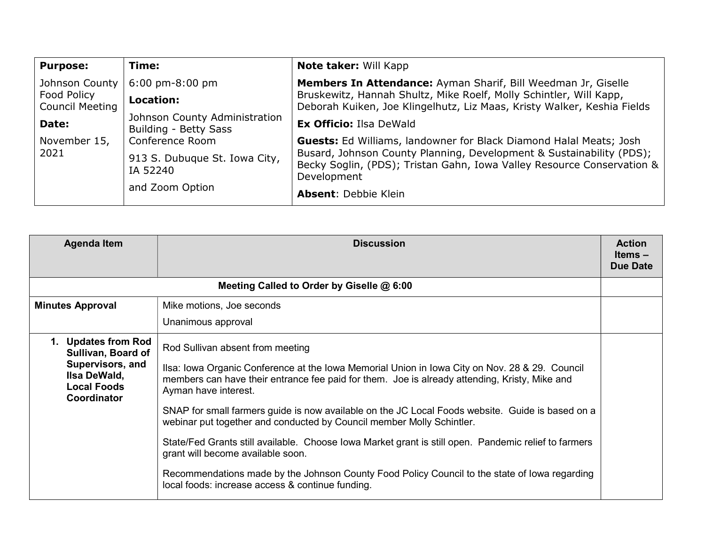| <b>Purpose:</b>                       | Time:                                                  | Note taker: Will Kapp                                                                                                                                         |  |
|---------------------------------------|--------------------------------------------------------|---------------------------------------------------------------------------------------------------------------------------------------------------------------|--|
| Johnson County                        | $6:00 \text{ pm-}8:00 \text{ pm}$                      | Members In Attendance: Ayman Sharif, Bill Weedman Jr, Giselle                                                                                                 |  |
| Food Policy<br><b>Council Meeting</b> | Location:                                              | Bruskewitz, Hannah Shultz, Mike Roelf, Molly Schintler, Will Kapp,<br>Deborah Kuiken, Joe Klingelhutz, Liz Maas, Kristy Walker, Keshia Fields                 |  |
| Date:                                 | Johnson County Administration<br>Building - Betty Sass | <b>Ex Officio: Ilsa DeWald</b>                                                                                                                                |  |
| November 15,                          | Conference Room                                        | <b>Guests:</b> Ed Williams, landowner for Black Diamond Halal Meats; Josh                                                                                     |  |
| 2021                                  | 913 S. Dubuque St. Iowa City,<br>IA 52240              | Busard, Johnson County Planning, Development & Sustainability (PDS);<br>Becky Soglin, (PDS); Tristan Gahn, Iowa Valley Resource Conservation &<br>Development |  |
|                                       | and Zoom Option                                        | <b>Absent: Debbie Klein</b>                                                                                                                                   |  |

| <b>Agenda Item</b>                                                                                                 | <b>Discussion</b>                                                                                                                                                                                                                                                                                                                                               | <b>Action</b><br>Items –<br>Due Date |
|--------------------------------------------------------------------------------------------------------------------|-----------------------------------------------------------------------------------------------------------------------------------------------------------------------------------------------------------------------------------------------------------------------------------------------------------------------------------------------------------------|--------------------------------------|
| Meeting Called to Order by Giselle @ 6:00                                                                          |                                                                                                                                                                                                                                                                                                                                                                 |                                      |
| <b>Minutes Approval</b>                                                                                            | Mike motions, Joe seconds                                                                                                                                                                                                                                                                                                                                       |                                      |
|                                                                                                                    | Unanimous approval                                                                                                                                                                                                                                                                                                                                              |                                      |
| 1. Updates from Rod<br>Sullivan, Board of<br>Supervisors, and<br>Ilsa DeWald,<br><b>Local Foods</b><br>Coordinator | Rod Sullivan absent from meeting<br>Ilsa: Iowa Organic Conference at the Iowa Memorial Union in Iowa City on Nov. 28 & 29. Council<br>members can have their entrance fee paid for them. Joe is already attending, Kristy, Mike and<br>Ayman have interest.<br>SNAP for small farmers guide is now available on the JC Local Foods website. Guide is based on a |                                      |
|                                                                                                                    | webinar put together and conducted by Council member Molly Schintler.                                                                                                                                                                                                                                                                                           |                                      |
|                                                                                                                    | State/Fed Grants still available. Choose lowa Market grant is still open. Pandemic relief to farmers<br>grant will become available soon.                                                                                                                                                                                                                       |                                      |
|                                                                                                                    | Recommendations made by the Johnson County Food Policy Council to the state of lowa regarding<br>local foods: increase access & continue funding.                                                                                                                                                                                                               |                                      |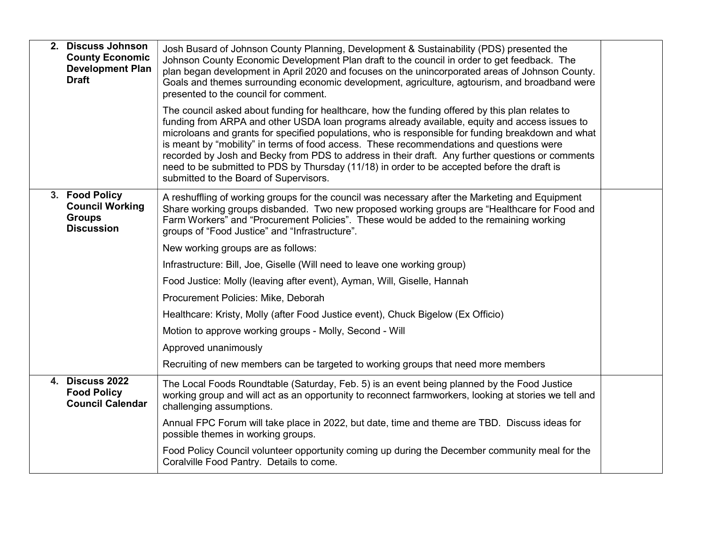| 2. Discuss Johnson<br><b>County Economic</b><br><b>Development Plan</b><br><b>Draft</b> | Josh Busard of Johnson County Planning, Development & Sustainability (PDS) presented the<br>Johnson County Economic Development Plan draft to the council in order to get feedback. The<br>plan began development in April 2020 and focuses on the unincorporated areas of Johnson County.<br>Goals and themes surrounding economic development, agriculture, agtourism, and broadband were<br>presented to the council for comment.<br>The council asked about funding for healthcare, how the funding offered by this plan relates to<br>funding from ARPA and other USDA loan programs already available, equity and access issues to<br>microloans and grants for specified populations, who is responsible for funding breakdown and what<br>is meant by "mobility" in terms of food access. These recommendations and questions were<br>recorded by Josh and Becky from PDS to address in their draft. Any further questions or comments<br>need to be submitted to PDS by Thursday (11/18) in order to be accepted before the draft is |  |
|-----------------------------------------------------------------------------------------|-----------------------------------------------------------------------------------------------------------------------------------------------------------------------------------------------------------------------------------------------------------------------------------------------------------------------------------------------------------------------------------------------------------------------------------------------------------------------------------------------------------------------------------------------------------------------------------------------------------------------------------------------------------------------------------------------------------------------------------------------------------------------------------------------------------------------------------------------------------------------------------------------------------------------------------------------------------------------------------------------------------------------------------------------|--|
|                                                                                         | submitted to the Board of Supervisors.                                                                                                                                                                                                                                                                                                                                                                                                                                                                                                                                                                                                                                                                                                                                                                                                                                                                                                                                                                                                        |  |
| 3. Food Policy<br><b>Council Working</b><br><b>Groups</b><br><b>Discussion</b>          | A reshuffling of working groups for the council was necessary after the Marketing and Equipment<br>Share working groups disbanded. Two new proposed working groups are "Healthcare for Food and<br>Farm Workers" and "Procurement Policies". These would be added to the remaining working<br>groups of "Food Justice" and "Infrastructure".                                                                                                                                                                                                                                                                                                                                                                                                                                                                                                                                                                                                                                                                                                  |  |
|                                                                                         | New working groups are as follows:                                                                                                                                                                                                                                                                                                                                                                                                                                                                                                                                                                                                                                                                                                                                                                                                                                                                                                                                                                                                            |  |
|                                                                                         | Infrastructure: Bill, Joe, Giselle (Will need to leave one working group)                                                                                                                                                                                                                                                                                                                                                                                                                                                                                                                                                                                                                                                                                                                                                                                                                                                                                                                                                                     |  |
|                                                                                         | Food Justice: Molly (leaving after event), Ayman, Will, Giselle, Hannah                                                                                                                                                                                                                                                                                                                                                                                                                                                                                                                                                                                                                                                                                                                                                                                                                                                                                                                                                                       |  |
|                                                                                         | Procurement Policies: Mike, Deborah                                                                                                                                                                                                                                                                                                                                                                                                                                                                                                                                                                                                                                                                                                                                                                                                                                                                                                                                                                                                           |  |
|                                                                                         | Healthcare: Kristy, Molly (after Food Justice event), Chuck Bigelow (Ex Officio)                                                                                                                                                                                                                                                                                                                                                                                                                                                                                                                                                                                                                                                                                                                                                                                                                                                                                                                                                              |  |
|                                                                                         | Motion to approve working groups - Molly, Second - Will                                                                                                                                                                                                                                                                                                                                                                                                                                                                                                                                                                                                                                                                                                                                                                                                                                                                                                                                                                                       |  |
|                                                                                         | Approved unanimously                                                                                                                                                                                                                                                                                                                                                                                                                                                                                                                                                                                                                                                                                                                                                                                                                                                                                                                                                                                                                          |  |
|                                                                                         | Recruiting of new members can be targeted to working groups that need more members                                                                                                                                                                                                                                                                                                                                                                                                                                                                                                                                                                                                                                                                                                                                                                                                                                                                                                                                                            |  |
| <b>4. Discuss 2022</b><br><b>Food Policy</b><br><b>Council Calendar</b>                 | The Local Foods Roundtable (Saturday, Feb. 5) is an event being planned by the Food Justice<br>working group and will act as an opportunity to reconnect farmworkers, looking at stories we tell and<br>challenging assumptions.                                                                                                                                                                                                                                                                                                                                                                                                                                                                                                                                                                                                                                                                                                                                                                                                              |  |
|                                                                                         | Annual FPC Forum will take place in 2022, but date, time and theme are TBD. Discuss ideas for<br>possible themes in working groups.                                                                                                                                                                                                                                                                                                                                                                                                                                                                                                                                                                                                                                                                                                                                                                                                                                                                                                           |  |
|                                                                                         | Food Policy Council volunteer opportunity coming up during the December community meal for the<br>Coralville Food Pantry. Details to come.                                                                                                                                                                                                                                                                                                                                                                                                                                                                                                                                                                                                                                                                                                                                                                                                                                                                                                    |  |